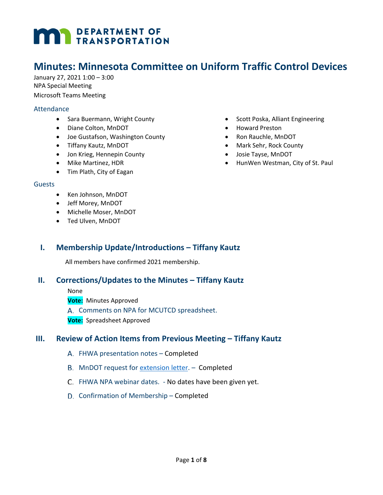# **DEPARTMENT OF TRANSPORTATION**

## **Minutes: Minnesota Committee on Uniform Traffic Control Devices**

January 27, 2021 1:00 – 3:00 NPA Special Meeting Microsoft Teams Meeting

#### **Attendance**

- Sara Buermann, Wright County
- Diane Colton, MnDOT
- Joe Gustafson, Washington County
- Tiffany Kautz, MnDOT
- Jon Krieg, Hennepin County
- Mike Martinez, HDR
- Tim Plath, City of Eagan

#### Guests

- Ken Johnson, MnDOT
- Jeff Morey, MnDOT
- Michelle Moser, MnDOT
- Ted Ulven, MnDOT

### **I. Membership Update/Introductions – Tiffany Kautz**

All members have confirmed 2021 membership.

#### **II. Corrections/Updates to the Minutes – Tiffany Kautz**

None

**Vote:** Minutes Approved

A. Comments on NPA for MCUTCD spreadsheet.

**Vote:** Spreadsheet Approved

#### **III. Review of Action Items from Previous Meeting – Tiffany Kautz**

- FHWA presentation notes Completed
- MnDOT request for [extension letter.](http://www.dot.state.mn.us/trafficeng/publ/mutcd/index.html) Completed
- C. FHWA NPA webinar dates. No dates have been given yet.
- D. Confirmation of Membership Completed
- Scott Poska, Alliant Engineering
- Howard Preston
- Ron Rauchle, MnDOT
- Mark Sehr, Rock County
- Josie Tayse, MnDOT
- HunWen Westman, City of St. Paul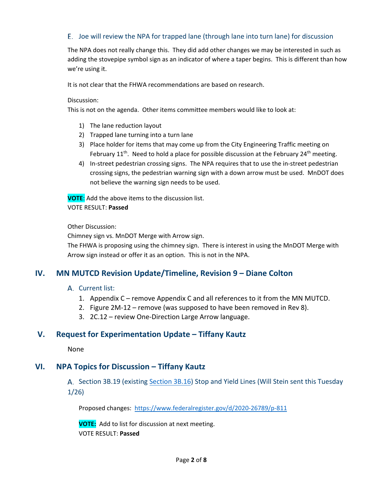#### Joe will review the NPA for trapped lane (through lane into turn lane) for discussion

The NPA does not really change this. They did add other changes we may be interested in such as adding the stovepipe symbol sign as an indicator of where a taper begins. This is different than how we're using it.

It is not clear that the FHWA recommendations are based on research.

Discussion:

This is not on the agenda. Other items committee members would like to look at:

- 1) The lane reduction layout
- 2) Trapped lane turning into a turn lane
- 3) Place holder for items that may come up from the City Engineering Traffic meeting on February  $11<sup>th</sup>$ . Need to hold a place for possible discussion at the February 24<sup>th</sup> meeting.
- 4) In-street pedestrian crossing signs. The NPA requires that to use the in-street pedestrian crossing signs, the pedestrian warning sign with a down arrow must be used. MnDOT does not believe the warning sign needs to be used.

**VOTE**: Add the above items to the discussion list.

#### VOTE RESULT: **Passed**

Other Discussion:

Chimney sign vs. MnDOT Merge with Arrow sign.

The FHWA is proposing using the chimney sign. There is interest in using the MnDOT Merge with Arrow sign instead or offer it as an option. This is not in the NPA.

### **IV. MN MUTCD Revision Update/Timeline, Revision 9 – Diane Colton**

#### A. Current list:

- 1. Appendix C remove Appendix C and all references to it from the MN MUTCD.
- 2. Figure 2M-12 remove (was supposed to have been removed in Rev 8).
- 3. 2C.12 review One-Direction Large Arrow language.

#### **V. Request for Experimentation Update – Tiffany Kautz**

None

#### **VI. NPA Topics for Discussion – Tiffany Kautz**

A. Section 3B.19 (existing [Section 3B.16\)](http://www.dot.state.mn.us/trafficeng/publ/mutcd/mnmutcd2020/mnmutcd-3.pdf#page=38) Stop and Yield Lines (Will Stein sent this Tuesday 1/26)

Proposed changes: <https://www.federalregister.gov/d/2020-26789/p-811>

**VOTE:** Add to list for discussion at next meeting. VOTE RESULT: **Passed**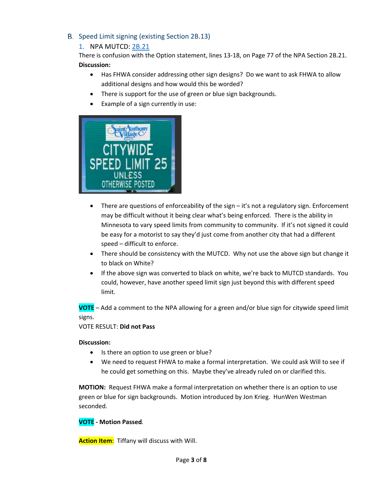B. Speed Limit signing (existing Section 2B.13)

#### 1. NPA MUTCD: [2B.21](https://www.federalregister.gov/d/2020-26789/p-198)

There is confusion with the Option statement, lines 13-18, on Page 77 of the NPA Section 2B.21. **Discussion:**

- Has FHWA consider addressing other sign designs? Do we want to ask FHWA to allow additional designs and how would this be worded?
- There is support for the use of green or blue sign backgrounds.
- Example of a sign currently in use:



- There are questions of enforceability of the sign it's not a regulatory sign. Enforcement may be difficult without it being clear what's being enforced. There is the ability in Minnesota to vary speed limits from community to community. If it's not signed it could be easy for a motorist to say they'd just come from another city that had a different speed – difficult to enforce.
- There should be consistency with the MUTCD. Why not use the above sign but change it to black on White?
- If the above sign was converted to black on white, we're back to MUTCD standards. You could, however, have another speed limit sign just beyond this with different speed limit.

**VOTE** – Add a comment to the NPA allowing for a green and/or blue sign for citywide speed limit signs.

#### VOTE RESULT: **Did not Pass**

#### **Discussion:**

- Is there an option to use green or blue?
- We need to request FHWA to make a formal interpretation. We could ask Will to see if he could get something on this. Maybe they've already ruled on or clarified this.

**MOTION:** Request FHWA make a formal interpretation on whether there is an option to use green or blue for sign backgrounds. Motion introduced by Jon Krieg. HunWen Westman seconded.

#### **VOTE - Motion Passed***.*

**Action Item**: Tiffany will discuss with Will.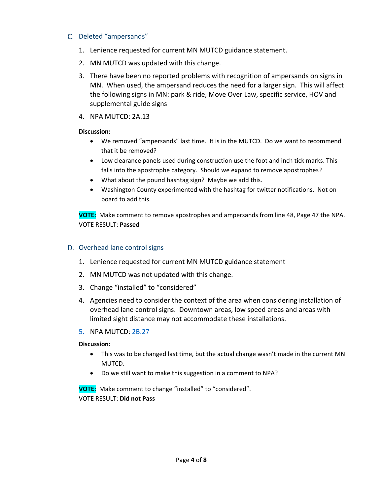#### C. Deleted "ampersands"

- 1. Lenience requested for current MN MUTCD guidance statement.
- 2. MN MUTCD was updated with this change.
- 3. There have been no reported problems with recognition of ampersands on signs in MN. When used, the ampersand reduces the need for a larger sign. This will affect the following signs in MN: park & ride, Move Over Law, specific service, HOV and supplemental guide signs
- 4. NPA MUTCD: 2A.13

#### **Discussion:**

- We removed "ampersands" last time. It is in the MUTCD. Do we want to recommend that it be removed?
- Low clearance panels used during construction use the foot and inch tick marks. This falls into the apostrophe category. Should we expand to remove apostrophes?
- What about the pound hashtag sign? Maybe we add this.
- Washington County experimented with the hashtag for twitter notifications. Not on board to add this.

**VOTE:** Make comment to remove apostrophes and ampersands from line 48, Page 47 the NPA. VOTE RESULT: **Passed**

#### D. Overhead lane control signs

- 1. Lenience requested for current MN MUTCD guidance statement
- 2. MN MUTCD was not updated with this change.
- 3. Change "installed" to "considered"
- 4. Agencies need to consider the context of the area when considering installation of overhead lane control signs. Downtown areas, low speed areas and areas with limited sight distance may not accommodate these installations.

#### 5. NPA MUTCD: [2B.27](https://www.federalregister.gov/d/2020-26789/p-213)

#### **Discussion:**

- This was to be changed last time, but the actual change wasn't made in the current MN MUTCD.
- Do we still want to make this suggestion in a comment to NPA?

**VOTE:** Make comment to change "installed" to "considered". VOTE RESULT: **Did not Pass**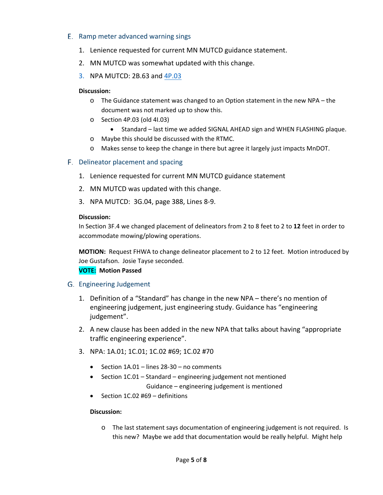#### E. Ramp meter advanced warning sings

- 1. Lenience requested for current MN MUTCD guidance statement.
- 2. MN MUTCD was somewhat updated with this change.
- 3. NPA MUTCD: 2B.63 and [4P.03](https://www.federalregister.gov/d/2020-26789/p-1047)

#### **Discussion:**

- $\circ$  The Guidance statement was changed to an Option statement in the new NPA the document was not marked up to show this.
- o Section 4P.03 (old 4I.03)
	- Standard last time we added SIGNAL AHEAD sign and WHEN FLASHING plaque.
- o Maybe this should be discussed with the RTMC.
- o Makes sense to keep the change in there but agree it largely just impacts MnDOT.

#### F. Delineator placement and spacing

- 1. Lenience requested for current MN MUTCD guidance statement
- 2. MN MUTCD was updated with this change.
- 3. NPA MUTCD: 3G.04, page 388, Lines 8-9.

#### **Discussion:**

In Section 3F.4 we changed placement of delineators from 2 to 8 feet to 2 to **12** feet in order to accommodate mowing/plowing operations.

**MOTION:** Request FHWA to change delineator placement to 2 to 12 feet. Motion introduced by Joe Gustafson. Josie Tayse seconded.

#### **VOTE: Motion Passed**

#### Engineering Judgement

- 1. Definition of a "Standard" has change in the new NPA there's no mention of engineering judgement, just engineering study. Guidance has "engineering judgement".
- 2. A new clause has been added in the new NPA that talks about having "appropriate traffic engineering experience".
- 3. NPA: 1A.01; 1C.01; 1C.02 #69; 1C.02 #70
	- Section 1A.01 lines 28-30 no comments
	- Section 1C.01 Standard engineering judgement not mentioned Guidance – engineering judgement is mentioned
	- Section 1C.02 #69 definitions

#### **Discussion:**

o The last statement says documentation of engineering judgement is not required. Is this new? Maybe we add that documentation would be really helpful. Might help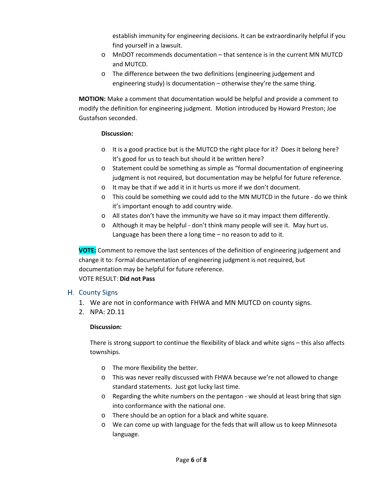establish immunity for engineering decisions. It can be extraordinarily helpful if you find yourself in a lawsuit.

- o MnDOT recommends documentation that sentence is in the current MN MUTCD and MUTCD.
- o The difference between the two definitions (engineering judgement and engineering study) is documentation – otherwise they're the same thing.

**MOTION:** Make a comment that documentation would be helpful and provide a comment to modify the definition for engineering judgment. Motion introduced by Howard Preston; Joe Gustafson seconded.

#### **Discussion:**

- o It is a good practice but is the MUTCD the right place for it? Does it belong here? It's good for us to teach but should it be written here?
- o Statement could be something as simple as "formal documentation of engineering judgment is not required, but documentation may be helpful for future reference.
- o It may be that if we add it in it hurts us more if we don't document.
- o This could be something we could add to the MN MUTCD in the future do we think it's important enough to add country wide.
- o All states don't have the immunity we have so it may impact them differently.
- o Although it may be helpful don't think many people will see it. May hurt us. Language has been there a long time – no reason to add to it.

**VOTE:** Comment to remove the last sentences of the definition of engineering judgement and change it to: Formal documentation of engineering judgment is not required, but documentation may be helpful for future reference. VOTE RESULT: **Did not Pass**

#### H. County Signs

- 1. We are not in conformance with FHWA and MN MUTCD on county signs.
- 2. NPA: 2D.11

#### **Discussion:**

There is strong support to continue the flexibility of black and white signs – this also affects townships.

- o The more flexibility the better.
- o This was never really discussed with FHWA because we're not allowed to change standard statements. Just got lucky last time.
- $\circ$  Regarding the white numbers on the pentagon we should at least bring that sign into conformance with the national one.
- o There should be an option for a black and white square.
- o We can come up with language for the feds that will allow us to keep Minnesota language.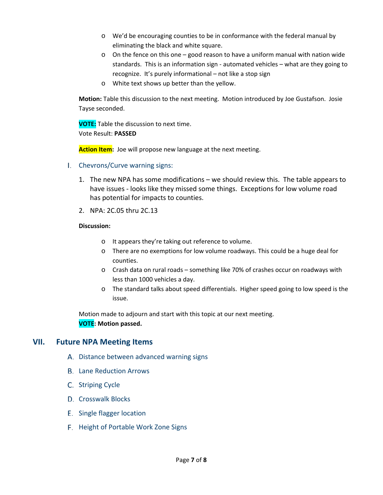- o We'd be encouraging counties to be in conformance with the federal manual by eliminating the black and white square.
- $\circ$  On the fence on this one good reason to have a uniform manual with nation wide standards. This is an information sign - automated vehicles – what are they going to recognize. It's purely informational – not like a stop sign
- o White text shows up better than the yellow.

**Motion:** Table this discussion to the next meeting. Motion introduced by Joe Gustafson. Josie Tayse seconded.

**VOTE:** Table the discussion to next time. Vote Result: **PASSED**

**Action Item:** Joe will propose new language at the next meeting.

- I. Chevrons/Curve warning signs:
	- 1. The new NPA has some modifications we should review this. The table appears to have issues - looks like they missed some things. Exceptions for low volume road has potential for impacts to counties.
	- 2. NPA: 2C.05 thru 2C.13

#### **Discussion:**

- o It appears they're taking out reference to volume.
- o There are no exemptions for low volume roadways. This could be a huge deal for counties.
- o Crash data on rural roads something like 70% of crashes occur on roadways with less than 1000 vehicles a day.
- o The standard talks about speed differentials. Higher speed going to low speed is the issue.

Motion made to adjourn and start with this topic at our next meeting. **VOTE: Motion passed.**

#### **VII. Future NPA Meeting Items**

- A. Distance between advanced warning signs
- **B.** Lane Reduction Arrows
- C. Striping Cycle
- D. Crosswalk Blocks
- E. Single flagger location
- F. Height of Portable Work Zone Signs